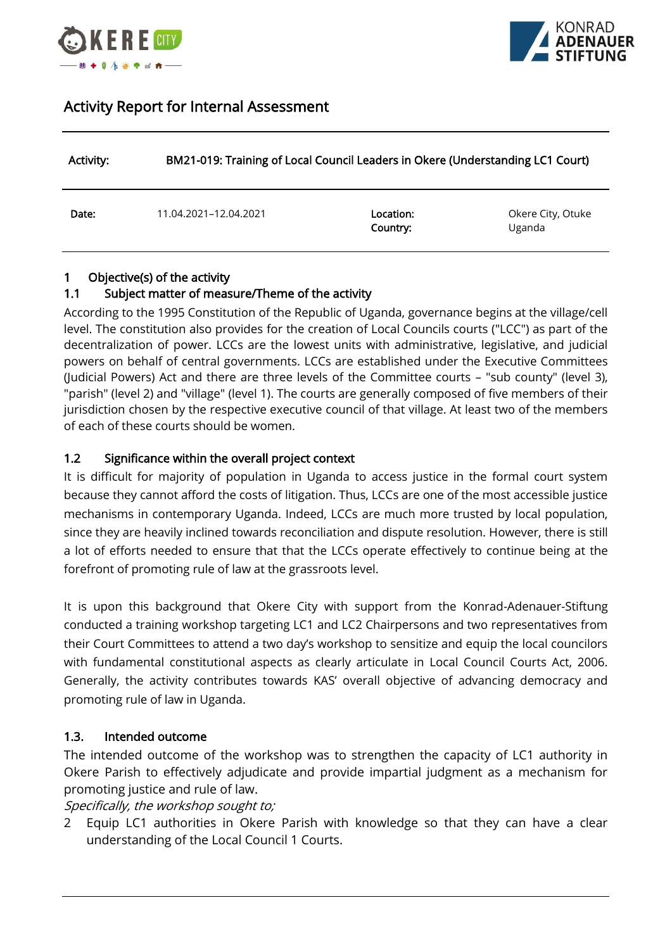



# Activity Report for Internal Assessment

| Activity: | BM21-019: Training of Local Council Leaders in Okere (Understanding LC1 Court) |                       |                             |
|-----------|--------------------------------------------------------------------------------|-----------------------|-----------------------------|
| Date:     | 11.04.2021-12.04.2021                                                          | Location:<br>Country: | Okere City, Otuke<br>Uganda |

## 1 Objective(s) of the activity

#### 1.1 Subject matter of measure/Theme of the activity

According to the 1995 Constitution of the Republic of Uganda, governance begins at the village/cell level. The constitution also provides for the creation of Local Councils courts ("LCC") as part of the decentralization of power. LCCs are the lowest units with administrative, legislative, and judicial powers on behalf of central governments. LCCs are established under the Executive Committees (Judicial Powers) Act and there are three levels of the Committee courts – "sub county" (level 3), "parish" (level 2) and "village" (level 1). The courts are generally composed of five members of their jurisdiction chosen by the respective executive council of that village. At least two of the members of each of these courts should be women.

#### 1.2 Significance within the overall project context

It is difficult for majority of population in Uganda to access justice in the formal court system because they cannot afford the costs of litigation. Thus, LCCs are one of the most accessible justice mechanisms in contemporary Uganda. Indeed, LCCs are much more trusted by local population, since they are heavily inclined towards reconciliation and dispute resolution. However, there is still a lot of efforts needed to ensure that that the LCCs operate effectively to continue being at the forefront of promoting rule of law at the grassroots level.

It is upon this background that Okere City with support from the Konrad-Adenauer-Stiftung conducted a training workshop targeting LC1 and LC2 Chairpersons and two representatives from their Court Committees to attend a two day's workshop to sensitize and equip the local councilors with fundamental constitutional aspects as clearly articulate in Local Council Courts Act, 2006. Generally, the activity contributes towards KAS' overall objective of advancing democracy and promoting rule of law in Uganda.

#### 1.3. Intended outcome

The intended outcome of the workshop was to strengthen the capacity of LC1 authority in Okere Parish to effectively adjudicate and provide impartial judgment as a mechanism for promoting justice and rule of law.

Specifically, the workshop sought to;

2 Equip LC1 authorities in Okere Parish with knowledge so that they can have a clear understanding of the Local Council 1 Courts.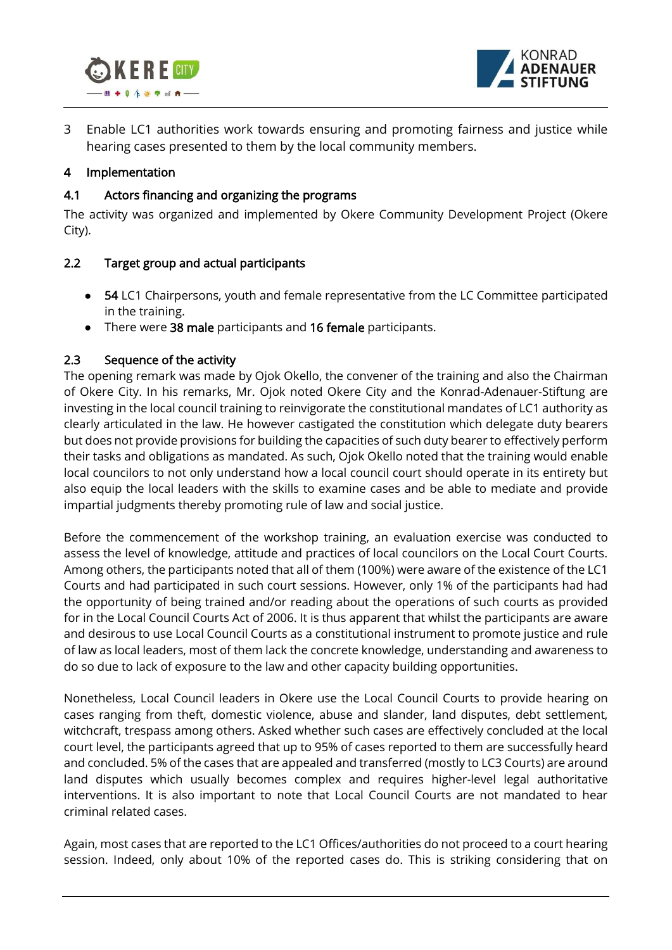



3 Enable LC1 authorities work towards ensuring and promoting fairness and justice while hearing cases presented to them by the local community members.

#### 4 Implementation

### 4.1 Actors financing and organizing the programs

The activity was organized and implemented by Okere Community Development Project (Okere City).

#### 2.2 Target group and actual participants

- 54 LC1 Chairpersons, youth and female representative from the LC Committee participated in the training.
- There were 38 male participants and 16 female participants.

## 2.3 Sequence of the activity

The opening remark was made by Ojok Okello, the convener of the training and also the Chairman of Okere City. In his remarks, Mr. Ojok noted Okere City and the Konrad-Adenauer-Stiftung are investing in the local council training to reinvigorate the constitutional mandates of LC1 authority as clearly articulated in the law. He however castigated the constitution which delegate duty bearers but does not provide provisions for building the capacities of such duty bearer to effectively perform their tasks and obligations as mandated. As such, Ojok Okello noted that the training would enable local councilors to not only understand how a local council court should operate in its entirety but also equip the local leaders with the skills to examine cases and be able to mediate and provide impartial judgments thereby promoting rule of law and social justice.

Before the commencement of the workshop training, an evaluation exercise was conducted to assess the level of knowledge, attitude and practices of local councilors on the Local Court Courts. Among others, the participants noted that all of them (100%) were aware of the existence of the LC1 Courts and had participated in such court sessions. However, only 1% of the participants had had the opportunity of being trained and/or reading about the operations of such courts as provided for in the Local Council Courts Act of 2006. It is thus apparent that whilst the participants are aware and desirous to use Local Council Courts as a constitutional instrument to promote justice and rule of law as local leaders, most of them lack the concrete knowledge, understanding and awareness to do so due to lack of exposure to the law and other capacity building opportunities.

Nonetheless, Local Council leaders in Okere use the Local Council Courts to provide hearing on cases ranging from theft, domestic violence, abuse and slander, land disputes, debt settlement, witchcraft, trespass among others. Asked whether such cases are effectively concluded at the local court level, the participants agreed that up to 95% of cases reported to them are successfully heard and concluded. 5% of the cases that are appealed and transferred (mostly to LC3 Courts) are around land disputes which usually becomes complex and requires higher-level legal authoritative interventions. It is also important to note that Local Council Courts are not mandated to hear criminal related cases.

Again, most cases that are reported to the LC1 Offices/authorities do not proceed to a court hearing session. Indeed, only about 10% of the reported cases do. This is striking considering that on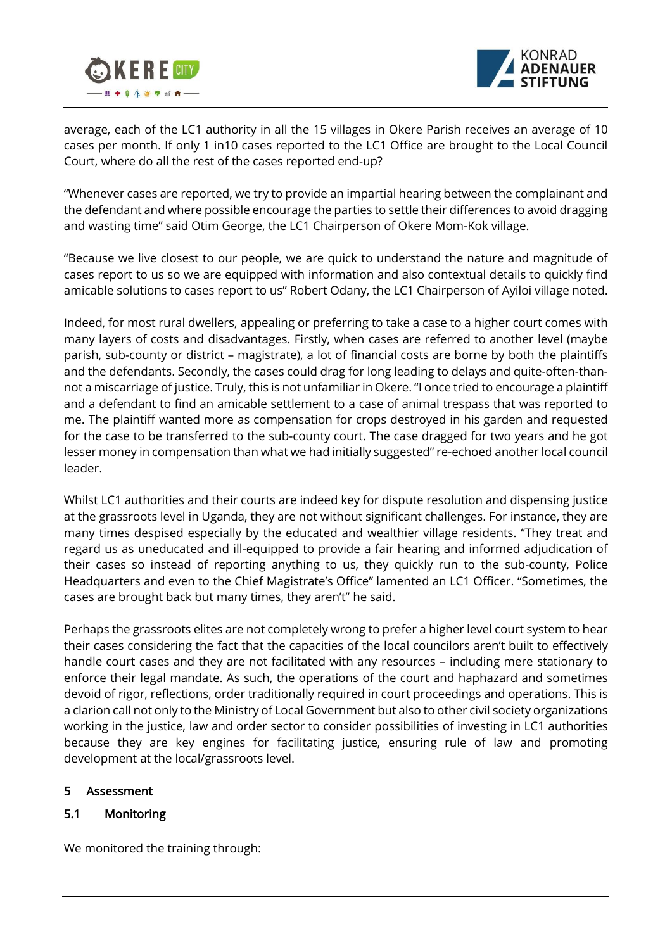



average, each of the LC1 authority in all the 15 villages in Okere Parish receives an average of 10 cases per month. If only 1 in10 cases reported to the LC1 Office are brought to the Local Council Court, where do all the rest of the cases reported end-up?

"Whenever cases are reported, we try to provide an impartial hearing between the complainant and the defendant and where possible encourage the parties to settle their differences to avoid dragging and wasting time" said Otim George, the LC1 Chairperson of Okere Mom-Kok village.

"Because we live closest to our people, we are quick to understand the nature and magnitude of cases report to us so we are equipped with information and also contextual details to quickly find amicable solutions to cases report to us" Robert Odany, the LC1 Chairperson of Ayiloi village noted.

Indeed, for most rural dwellers, appealing or preferring to take a case to a higher court comes with many layers of costs and disadvantages. Firstly, when cases are referred to another level (maybe parish, sub-county or district – magistrate), a lot of financial costs are borne by both the plaintiffs and the defendants. Secondly, the cases could drag for long leading to delays and quite-often-thannot a miscarriage of justice. Truly, this is not unfamiliar in Okere. "I once tried to encourage a plaintiff and a defendant to find an amicable settlement to a case of animal trespass that was reported to me. The plaintiff wanted more as compensation for crops destroyed in his garden and requested for the case to be transferred to the sub-county court. The case dragged for two years and he got lesser money in compensation than what we had initially suggested" re-echoed another local council leader.

Whilst LC1 authorities and their courts are indeed key for dispute resolution and dispensing justice at the grassroots level in Uganda, they are not without significant challenges. For instance, they are many times despised especially by the educated and wealthier village residents. "They treat and regard us as uneducated and ill-equipped to provide a fair hearing and informed adjudication of their cases so instead of reporting anything to us, they quickly run to the sub-county, Police Headquarters and even to the Chief Magistrate's Office" lamented an LC1 Officer. "Sometimes, the cases are brought back but many times, they aren't" he said.

Perhaps the grassroots elites are not completely wrong to prefer a higher level court system to hear their cases considering the fact that the capacities of the local councilors aren't built to effectively handle court cases and they are not facilitated with any resources – including mere stationary to enforce their legal mandate. As such, the operations of the court and haphazard and sometimes devoid of rigor, reflections, order traditionally required in court proceedings and operations. This is a clarion call not only to the Ministry of Local Government but also to other civil society organizations working in the justice, law and order sector to consider possibilities of investing in LC1 authorities because they are key engines for facilitating justice, ensuring rule of law and promoting development at the local/grassroots level.

#### 5 Assessment

## 5.1 Monitoring

We monitored the training through: